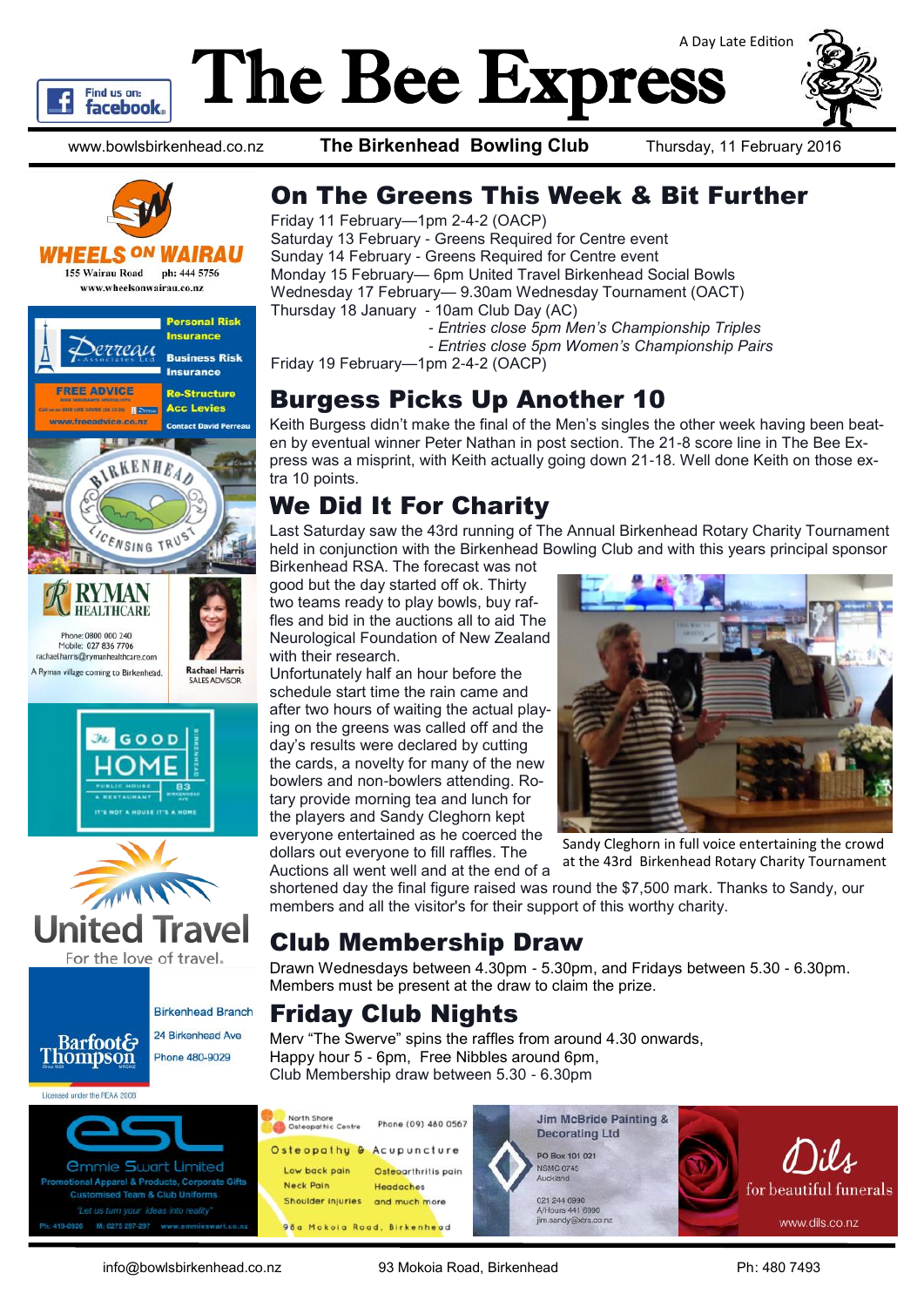

# The Bee Express A Day Late Edition

www.bowlsbirkenhead.co.nz **The Birkenhead Bowling Club** Thursday, 11 February 2016



### WHEELS <sup>ON</sup> WAIRAU

155 Wairau Road ph: 444 5756 www.wheelsonwairau.co.nz







For the love of travel.



#### *<u>Ommie Swart Limited</u>* al Apparel & Products, Corporate Gifts mised Team & Club Uniforms Let us turn your id M: 0275 297-297

## On The Greens This Week & Bit Further

Friday 11 February—1pm 2-4-2 (OACP) Saturday 13 February - Greens Required for Centre event Sunday 14 February - Greens Required for Centre event Monday 15 February— 6pm United Travel Birkenhead Social Bowls Wednesday 17 February— 9.30am Wednesday Tournament (OACT) Thursday 18 January - 10am Club Day (AC)

- *- Entries close 5pm Men's Championship Triples*
- *- Entries close 5pm Women's Championship Pairs*

Friday 19 February—1pm 2-4-2 (OACP)

## Burgess Picks Up Another 10

Keith Burgess didn't make the final of the Men's singles the other week having been beaten by eventual winner Peter Nathan in post section. The 21-8 score line in The Bee Express was a misprint, with Keith actually going down 21-18. Well done Keith on those extra 10 points.

## We Did It For Charity

Last Saturday saw the 43rd running of The Annual Birkenhead Rotary Charity Tournament held in conjunction with the Birkenhead Bowling Club and with this years principal sponsor

Birkenhead RSA. The forecast was not good but the day started off ok. Thirty two teams ready to play bowls, buy raffles and bid in the auctions all to aid The Neurological Foundation of New Zealand with their research.

Unfortunately half an hour before the schedule start time the rain came and after two hours of waiting the actual playing on the greens was called off and the day's results were declared by cutting the cards, a novelty for many of the new bowlers and non-bowlers attending. Rotary provide morning tea and lunch for the players and Sandy Cleghorn kept everyone entertained as he coerced the dollars out everyone to fill raffles. The Auctions all went well and at the end of a



Sandy Cleghorn in full voice entertaining the crowd at the 43rd Birkenhead Rotary Charity Tournament

shortened day the final figure raised was round the \$7,500 mark. Thanks to Sandy, our members and all the visitor's for their support of this worthy charity.

## Club Membership Draw

Drawn Wednesdays between 4.30pm - 5.30pm, and Fridays between 5.30 - 6.30pm. Members must be present at the draw to claim the prize.

## Friday Club Nights

Merv "The Swerve" spins the raffles from around 4.30 onwards, Happy hour 5 - 6pm, Free Nibbles around 6pm, Club Membership draw between 5.30 - 6.30pm